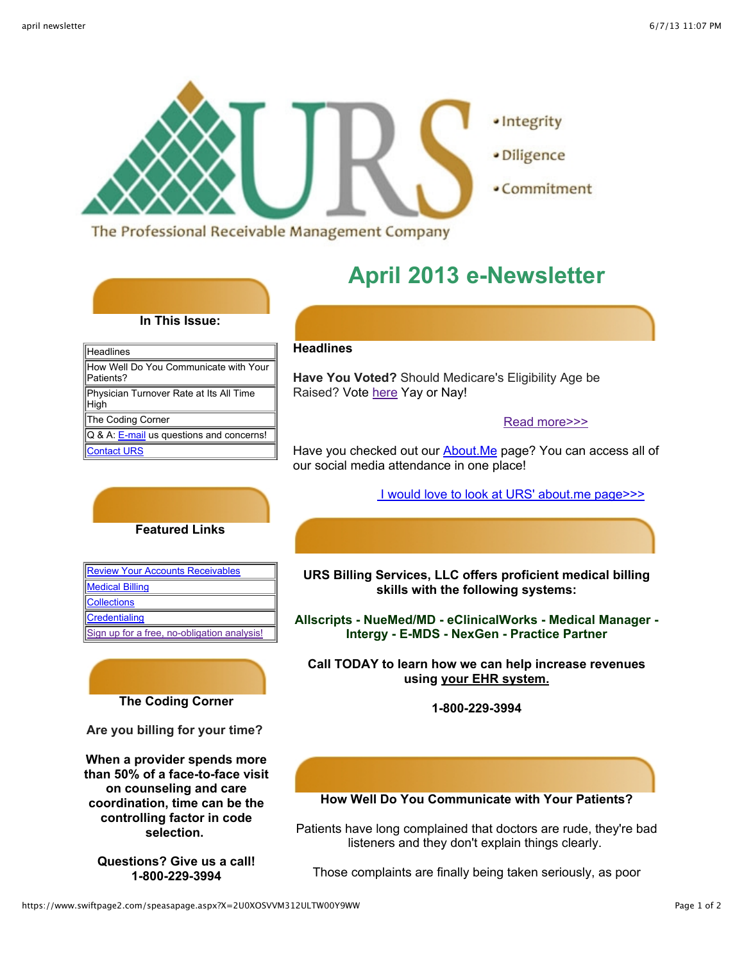

- · Integrity
- · Diligence
- Commitment

The Professional Receivable Management Company

# **April 2013 e-Newsletter**

### **In This Issue:**

| <b>Headlines</b>                                   |
|----------------------------------------------------|
| How Well Do You Communicate with Your<br>Patients? |
| Physician Turnover Rate at Its All Time<br>High    |
| The Coding Corner                                  |
| Q & A: E-mail us questions and concerns!           |
| <b>Contact URS</b>                                 |

#### **Headlines**

**Have You Voted?** Should Medicare's Eligibility Age be Raised? Vote [here](http://blogs.wsj.com/health/2012/09/06/should-medicares-eligibility-age-be-raised/) Yay or Nay!

#### [Read more>>>](http://blogs.wsj.com/health/2012/09/06/should-medicares-eligibility-age-be-raised/)

Have you checked out our **About.Me** page? You can access all of our social media attendance in one place!

#### [I would love to look at URS' about.me page>>>](http://about.me/ursbilling)

#### **Featured Links**

| <b>Review Your Accounts Receivables</b>     |
|---------------------------------------------|
| <b>Medical Billing</b>                      |
| Collections                                 |
| Credentialing                               |
| Sign up for a free, no-obligation analysis! |

## **The Coding Corner**

**Are you billing for your time?**

**When a provider spends more than 50% of a face-to-face visit on counseling and care coordination, time can be the controlling factor in code selection.** 

**Questions? Give us a call! 1-800-229-3994**

#### **URS Billing Services, LLC offers proficient medical billing skills with the following systems:**

**Allscripts - NueMed/MD - eClinicalWorks - Medical Manager - Intergy - E-MDS - NexGen - Practice Partner**

**Call TODAY to learn how we can help increase revenues using your EHR system.**

**1-800-229-3994**

#### **How Well Do You Communicate with Your Patients?**

Patients have long complained that doctors are rude, they're bad listeners and they don't explain things clearly.

Those complaints are finally being taken seriously, as poor